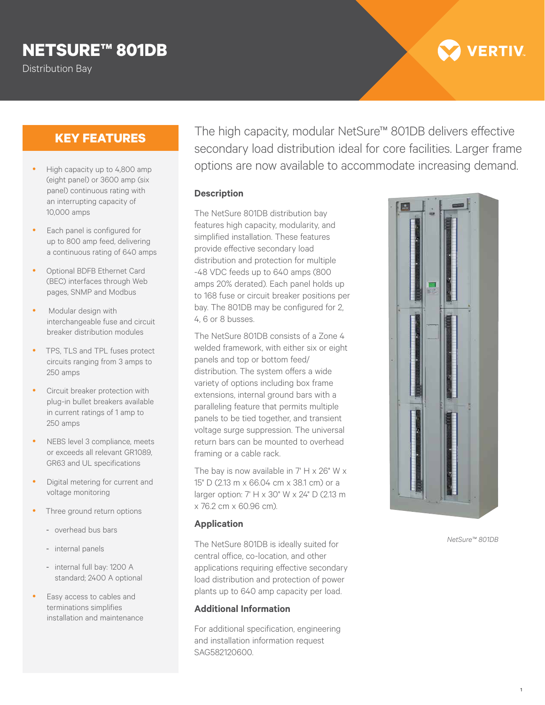## **NETSURE™ 801DB**

Distribution Bay

# **VERTIV**

## **KEY FEATURES**

- High capacity up to 4,800 amp (eight panel) or 3600 amp (six panel) continuous rating with an interrupting capacity of 10,000 amps
- Each panel is configured for up to 800 amp feed, delivering a continuous rating of 640 amps
- Optional BDFB Ethernet Card (BEC) interfaces through Web pages, SNMP and Modbus
- Modular design with interchangeable fuse and circuit breaker distribution modules
- TPS, TLS and TPL fuses protect circuits ranging from 3 amps to 250 amps
- Circuit breaker protection with plug-in bullet breakers available in current ratings of 1 amp to 250 amps
- NEBS level 3 compliance, meets or exceeds all relevant GR1089, GR63 and UL specifications
- Digital metering for current and voltage monitoring
- Three ground return options
	- overhead bus bars
	- internal panels
	- internal full bay: 1200 A standard; 2400 A optional
- Easy access to cables and terminations simplifies installation and maintenance

The high capacity, modular NetSure™ 801DB delivers effective secondary load distribution ideal for core facilities. Larger frame options are now available to accommodate increasing demand.

#### **Description**

The NetSure 801DB distribution bay features high capacity, modularity, and simplified installation. These features provide effective secondary load distribution and protection for multiple -48 VDC feeds up to 640 amps (800 amps 20% derated). Each panel holds up to 168 fuse or circuit breaker positions per bay. The 801DB may be configured for 2, 4, 6 or 8 busses.

The NetSure 801DB consists of a Zone 4 welded framework, with either six or eight panels and top or bottom feed/ distribution. The system offers a wide variety of options including box frame extensions, internal ground bars with a paralleling feature that permits multiple panels to be tied together, and transient voltage surge suppression. The universal return bars can be mounted to overhead framing or a cable rack.

The bay is now available in  $7' H \times 26'' W \times 1$ 15" D (2.13 m x 66.04 cm x 38.1 cm) or a larger option: 7' H x 30" W x 24" D (2.13 m x 76.2 cm x 60.96 cm).

#### **Application**

The NetSure 801DB is ideally suited for central office, co-location, and other applications requiring effective secondary load distribution and protection of power plants up to 640 amp capacity per load.

#### **Additional Information**

For additional specification, engineering and installation information request SAG582120600.



*NetSure™ 801DB*